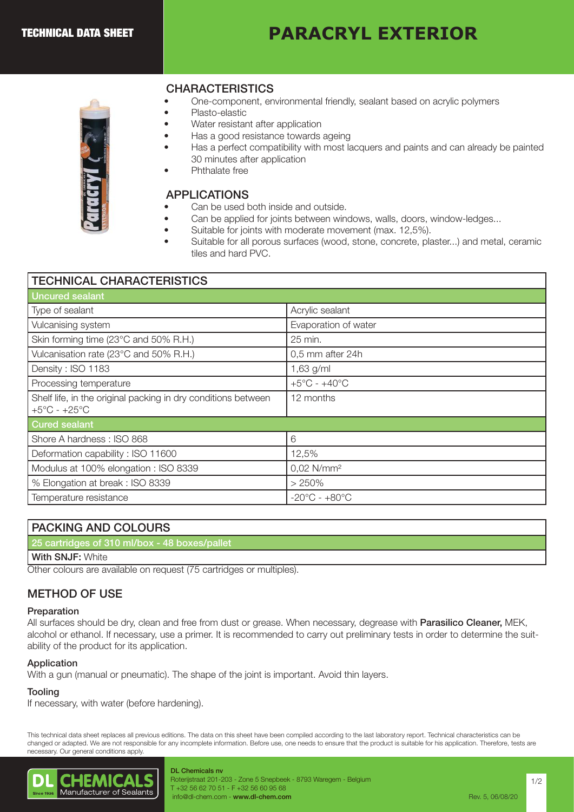# **PARACRYL EXTERIOR**



# **CHARACTERISTICS**

- One-component, environmental friendly, sealant based on acrylic polymers
- Plasto-elastic
- Water resistant after application
- Has a good resistance towards ageing
- Has a perfect compatibility with most lacquers and paints and can already be painted 30 minutes after application APPLICATIONS
	- Phthalate free

- Can be used both inside and outside.
	- Can be applied for joints between windows, walls, doors, window-ledges...
	- Suitable for joints with moderate movement (max. 12,5%).
- Suitable for all porous surfaces (wood, stone, concrete, plaster...) and metal, ceramic tiles and hard PVC.

| <b>TECHNICAL CHARACTERISTICS</b>                                                                  |                                   |
|---------------------------------------------------------------------------------------------------|-----------------------------------|
| <b>Uncured sealant</b>                                                                            |                                   |
| Type of sealant                                                                                   | Acrylic sealant                   |
| Vulcanising system                                                                                | Evaporation of water              |
| Skin forming time (23°C and 50% R.H.)                                                             | 25 min.                           |
| Vulcanisation rate (23°C and 50% R.H.)                                                            | 0,5 mm after 24h                  |
| Density: ISO 1183                                                                                 | 1,63 g/ml                         |
| Processing temperature                                                                            | $+5^{\circ}$ C - $+40^{\circ}$ C  |
| Shelf life, in the original packing in dry conditions between<br>$+5^{\circ}$ C - $+25^{\circ}$ C | 12 months                         |
| <b>Cured sealant</b>                                                                              |                                   |
| Shore A hardness: ISO 868                                                                         | 6                                 |
| Deformation capability: ISO 11600                                                                 | 12,5%                             |
| Modulus at 100% elongation : ISO 8339                                                             | 0,02 N/mm <sup>2</sup>            |
| % Elongation at break: ISO 8339                                                                   | > 250%                            |
| Temperature resistance                                                                            | $-20^{\circ}$ C - $+80^{\circ}$ C |

| <b>PACKING AND COLOURS</b>                    |
|-----------------------------------------------|
| 25 cartridges of 310 ml/box - 48 boxes/pallet |
| <b>With SNJF: White</b>                       |

Other colours are available on request (75 cartridges or multiples).

# METHOD OF USE

#### Preparation

All surfaces should be dry, clean and free from dust or grease. When necessary, degrease with **Parasilico Cleaner**, MEK, alcohol or ethanol. If necessary, use a primer. It is recommended to carry out preliminary tests in order to determine the suitability of the product for its application.

#### Application

With a gun (manual or pneumatic). The shape of the joint is important. Avoid thin layers.

#### **Tooling**

If necessary, with water (before hardening).

This technical data sheet replaces all previous editions. The data on this sheet have been compiled according to the last laboratory report. Technical characteristics can be changed or adapted. We are not responsible for any incomplete information. Before use, one needs to ensure that the product is suitable for his application. Therefore, tests are necessary. Our general conditions apply.